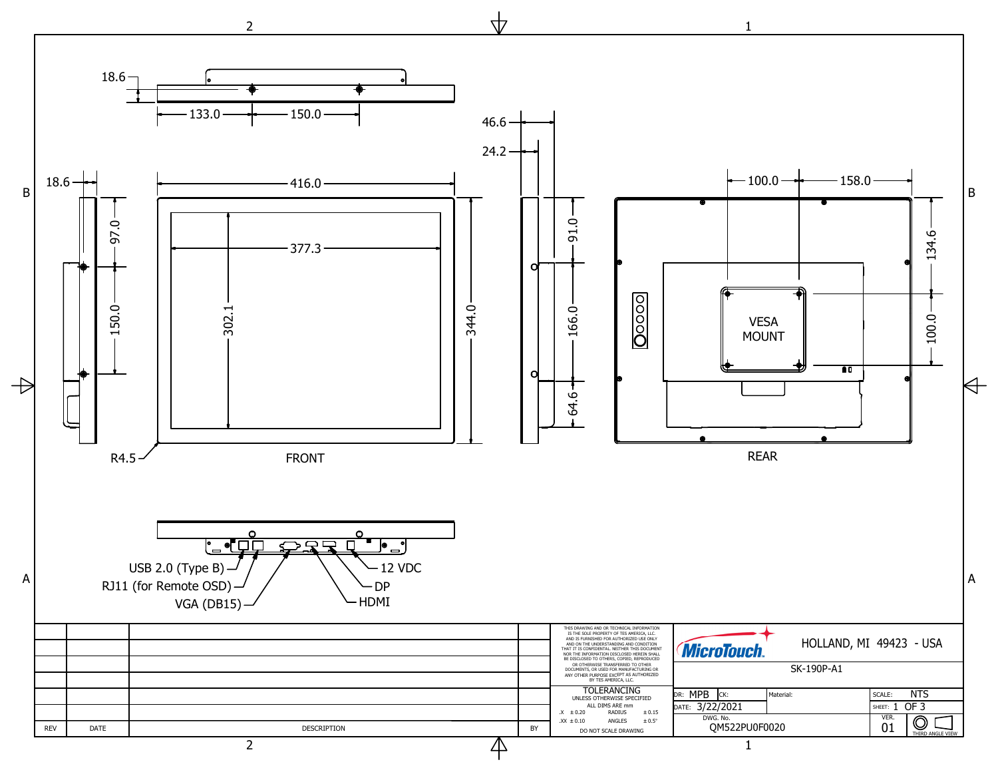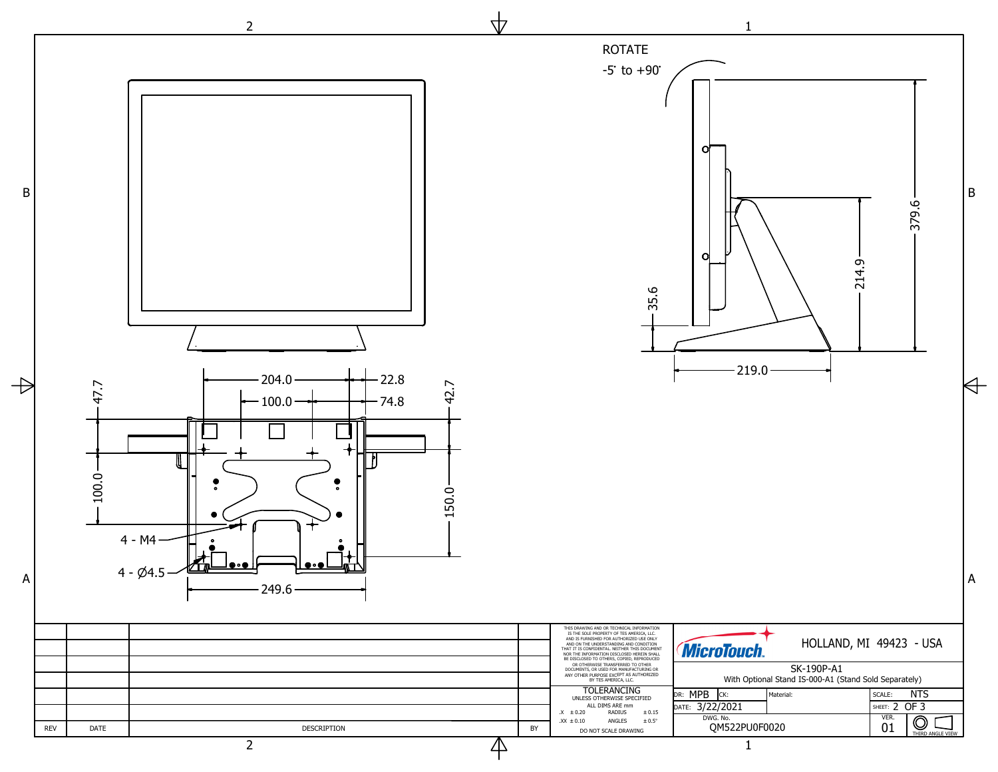